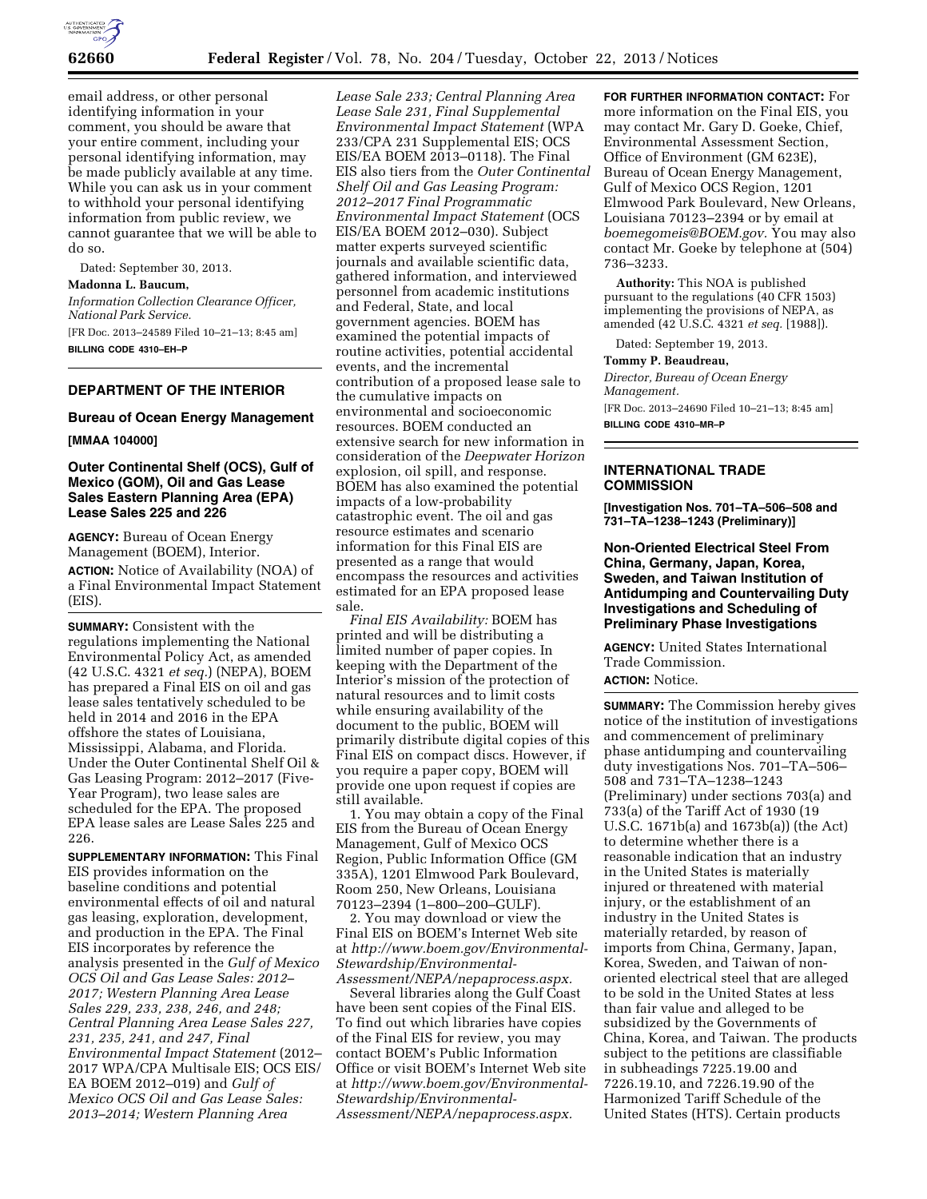

email address, or other personal identifying information in your comment, you should be aware that your entire comment, including your personal identifying information, may be made publicly available at any time. While you can ask us in your comment to withhold your personal identifying information from public review, we cannot guarantee that we will be able to do so.

Dated: September 30, 2013.

## **Madonna L. Baucum,**

*Information Collection Clearance Officer, National Park Service.* 

[FR Doc. 2013–24589 Filed 10–21–13; 8:45 am] **BILLING CODE 4310–EH–P** 

## **DEPARTMENT OF THE INTERIOR**

#### **Bureau of Ocean Energy Management**

**[MMAA 104000]** 

## **Outer Continental Shelf (OCS), Gulf of Mexico (GOM), Oil and Gas Lease Sales Eastern Planning Area (EPA) Lease Sales 225 and 226**

**AGENCY:** Bureau of Ocean Energy Management (BOEM), Interior.

**ACTION:** Notice of Availability (NOA) of a Final Environmental Impact Statement (EIS).

**SUMMARY:** Consistent with the regulations implementing the National Environmental Policy Act, as amended (42 U.S.C. 4321 *et seq.*) (NEPA), BOEM has prepared a Final EIS on oil and gas lease sales tentatively scheduled to be held in 2014 and 2016 in the EPA offshore the states of Louisiana, Mississippi, Alabama, and Florida. Under the Outer Continental Shelf Oil & Gas Leasing Program: 2012–2017 (Five-Year Program), two lease sales are scheduled for the EPA. The proposed EPA lease sales are Lease Sales 225 and 226.

**SUPPLEMENTARY INFORMATION:** This Final EIS provides information on the baseline conditions and potential environmental effects of oil and natural gas leasing, exploration, development, and production in the EPA. The Final EIS incorporates by reference the analysis presented in the *Gulf of Mexico OCS Oil and Gas Lease Sales: 2012– 2017; Western Planning Area Lease Sales 229, 233, 238, 246, and 248; Central Planning Area Lease Sales 227, 231, 235, 241, and 247, Final Environmental Impact Statement* (2012– 2017 WPA/CPA Multisale EIS; OCS EIS/ EA BOEM 2012–019) and *Gulf of Mexico OCS Oil and Gas Lease Sales: 2013–2014; Western Planning Area* 

*Lease Sale 233; Central Planning Area Lease Sale 231, Final Supplemental Environmental Impact Statement* (WPA 233/CPA 231 Supplemental EIS; OCS EIS/EA BOEM 2013–0118). The Final EIS also tiers from the *Outer Continental Shelf Oil and Gas Leasing Program: 2012–2017 Final Programmatic Environmental Impact Statement* (OCS EIS/EA BOEM 2012–030). Subject matter experts surveyed scientific journals and available scientific data, gathered information, and interviewed personnel from academic institutions and Federal, State, and local government agencies. BOEM has examined the potential impacts of routine activities, potential accidental events, and the incremental contribution of a proposed lease sale to the cumulative impacts on environmental and socioeconomic resources. BOEM conducted an extensive search for new information in consideration of the *Deepwater Horizon*  explosion, oil spill, and response. BOEM has also examined the potential impacts of a low-probability catastrophic event. The oil and gas resource estimates and scenario information for this Final EIS are presented as a range that would encompass the resources and activities estimated for an EPA proposed lease sale.

*Final EIS Availability:* BOEM has printed and will be distributing a limited number of paper copies. In keeping with the Department of the Interior's mission of the protection of natural resources and to limit costs while ensuring availability of the document to the public, BOEM will primarily distribute digital copies of this Final EIS on compact discs. However, if you require a paper copy, BOEM will provide one upon request if copies are still available.

1. You may obtain a copy of the Final EIS from the Bureau of Ocean Energy Management, Gulf of Mexico OCS Region, Public Information Office (GM 335A), 1201 Elmwood Park Boulevard, Room 250, New Orleans, Louisiana 70123–2394 (1–800–200–GULF).

2. You may download or view the Final EIS on BOEM's Internet Web site at *[http://www.boem.gov/Environmental-](http://www.boem.gov/Environmental-Stewardship/Environmental-Assessment/NEPA/nepaprocess.aspx)[Stewardship/Environmental-](http://www.boem.gov/Environmental-Stewardship/Environmental-Assessment/NEPA/nepaprocess.aspx)[Assessment/NEPA/nepaprocess.aspx.](http://www.boem.gov/Environmental-Stewardship/Environmental-Assessment/NEPA/nepaprocess.aspx)* 

Several libraries along the Gulf Coast have been sent copies of the Final EIS. To find out which libraries have copies of the Final EIS for review, you may contact BOEM's Public Information Office or visit BOEM's Internet Web site at *[http://www.boem.gov/Environmental-](http://www.boem.gov/Environmental-Stewardship/Environmental-Assessment/NEPA/nepaprocess.aspx)[Stewardship/Environmental-](http://www.boem.gov/Environmental-Stewardship/Environmental-Assessment/NEPA/nepaprocess.aspx)[Assessment/NEPA/nepaprocess.aspx.](http://www.boem.gov/Environmental-Stewardship/Environmental-Assessment/NEPA/nepaprocess.aspx)* 

**FOR FURTHER INFORMATION CONTACT:** For more information on the Final EIS, you may contact Mr. Gary D. Goeke, Chief, Environmental Assessment Section, Office of Environment (GM 623E), Bureau of Ocean Energy Management, Gulf of Mexico OCS Region, 1201 Elmwood Park Boulevard, New Orleans, Louisiana 70123–2394 or by email at *[boemegomeis@BOEM.gov.](mailto:boemegomeis@BOEM.gov)* You may also contact Mr. Goeke by telephone at (504) 736–3233.

**Authority:** This NOA is published pursuant to the regulations (40 CFR 1503) implementing the provisions of NEPA, as amended (42 U.S.C. 4321 *et seq.* [1988]).

Dated: September 19, 2013.

#### **Tommy P. Beaudreau,**

*Director, Bureau of Ocean Energy Management.*  [FR Doc. 2013–24690 Filed 10–21–13; 8:45 am] **BILLING CODE 4310–MR–P** 

#### **INTERNATIONAL TRADE COMMISSION**

**[Investigation Nos. 701–TA–506–508 and 731–TA–1238–1243 (Preliminary)]** 

# **Non-Oriented Electrical Steel From China, Germany, Japan, Korea, Sweden, and Taiwan Institution of Antidumping and Countervailing Duty Investigations and Scheduling of Preliminary Phase Investigations**

**AGENCY:** United States International Trade Commission. **ACTION:** Notice.

**SUMMARY:** The Commission hereby gives notice of the institution of investigations and commencement of preliminary phase antidumping and countervailing duty investigations Nos. 701–TA–506– 508 and 731–TA–1238–1243 (Preliminary) under sections 703(a) and 733(a) of the Tariff Act of 1930 (19 U.S.C. 1671b(a) and 1673b(a)) (the Act) to determine whether there is a reasonable indication that an industry in the United States is materially injured or threatened with material injury, or the establishment of an industry in the United States is materially retarded, by reason of imports from China, Germany, Japan, Korea, Sweden, and Taiwan of nonoriented electrical steel that are alleged to be sold in the United States at less than fair value and alleged to be subsidized by the Governments of China, Korea, and Taiwan. The products subject to the petitions are classifiable in subheadings 7225.19.00 and 7226.19.10, and 7226.19.90 of the Harmonized Tariff Schedule of the United States (HTS). Certain products